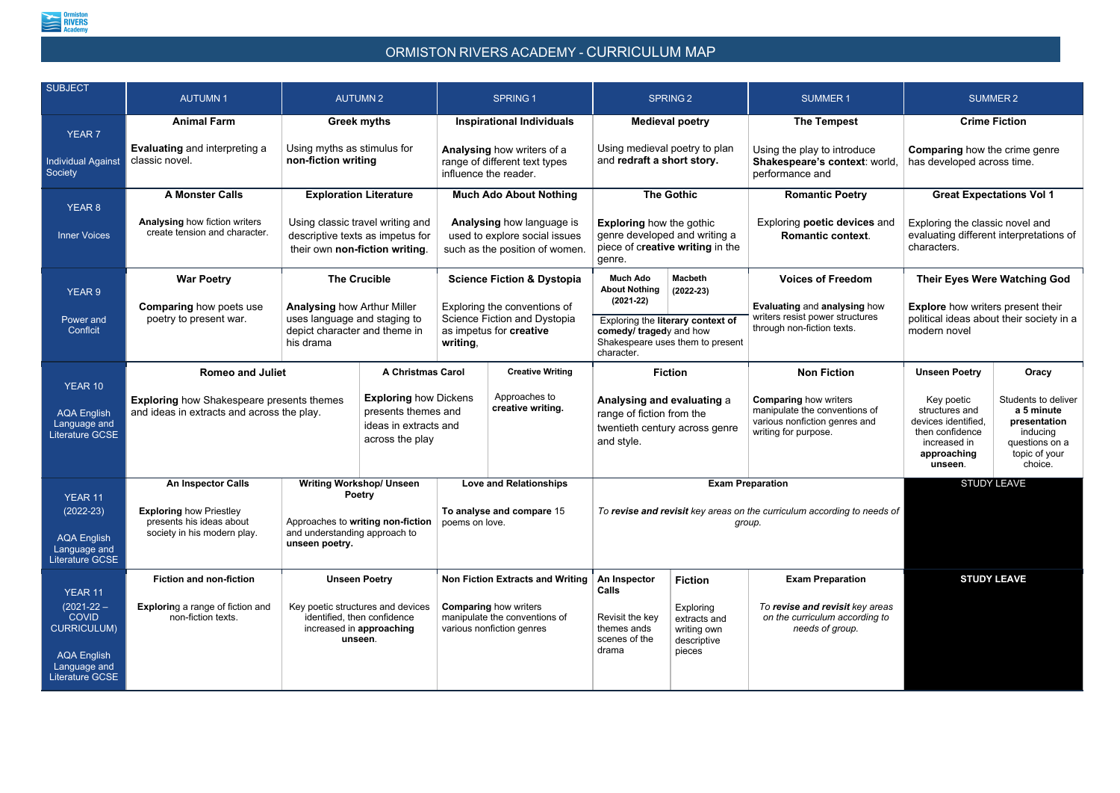

## ORMISTON RIVERS ACADEMY - CURRICULUM MAP

| <b>SUBJECT</b>                                                                  | <b>AUTUMN1</b>                                                                                                                                                                                    | <b>AUTUMN2</b>                                                                                                                                                                                                                        |                                    | <b>SPRING1</b>                                                                                                                               |                                                                                                         | <b>SPRING 2</b>                                                                                                               |                                                                                                                        | <b>SUMMER1</b><br><b>SUMMER 2</b>                                                                                |                                                                                                             |                                 |
|---------------------------------------------------------------------------------|---------------------------------------------------------------------------------------------------------------------------------------------------------------------------------------------------|---------------------------------------------------------------------------------------------------------------------------------------------------------------------------------------------------------------------------------------|------------------------------------|----------------------------------------------------------------------------------------------------------------------------------------------|---------------------------------------------------------------------------------------------------------|-------------------------------------------------------------------------------------------------------------------------------|------------------------------------------------------------------------------------------------------------------------|------------------------------------------------------------------------------------------------------------------|-------------------------------------------------------------------------------------------------------------|---------------------------------|
| <b>YEAR 7</b>                                                                   | <b>Animal Farm</b>                                                                                                                                                                                | <b>Greek myths</b>                                                                                                                                                                                                                    |                                    | <b>Inspirational Individuals</b>                                                                                                             |                                                                                                         | <b>Medieval poetry</b>                                                                                                        |                                                                                                                        | <b>The Tempest</b>                                                                                               | <b>Crime Fiction</b>                                                                                        |                                 |
| <b>Individual Against</b><br>Society                                            | <b>Evaluating and interpreting a</b><br>classic novel.                                                                                                                                            | Using myths as stimulus for<br>non-fiction writing                                                                                                                                                                                    |                                    | Analysing how writers of a<br>range of different text types<br>influence the reader.                                                         |                                                                                                         | Using medieval poetry to plan<br>and redraft a short story.                                                                   |                                                                                                                        | Using the play to introduce<br>Shakespeare's context: world,<br>performance and                                  | <b>Comparing</b> how the crime genre<br>has developed across time.                                          |                                 |
| <b>YEAR 8</b>                                                                   | <b>A Monster Calls</b>                                                                                                                                                                            | <b>Exploration Literature</b>                                                                                                                                                                                                         |                                    | <b>Much Ado About Nothing</b>                                                                                                                |                                                                                                         | <b>The Gothic</b>                                                                                                             |                                                                                                                        | <b>Romantic Poetry</b>                                                                                           |                                                                                                             | <b>Great Expectations Vol 1</b> |
| <b>Inner Voices</b>                                                             | <b>Analysing how fiction writers</b><br>create tension and character.                                                                                                                             | Using classic travel writing and<br>descriptive texts as impetus for<br>their own non-fiction writing.                                                                                                                                |                                    | <b>Analysing how language is</b><br>used to explore social issues<br>such as the position of women.                                          |                                                                                                         | <b>Exploring how the gothic</b><br>genre developed and writing a<br>piece of creative writing in the<br>genre.                |                                                                                                                        | Exploring poetic devices and<br><b>Romantic context.</b>                                                         | Exploring the classic novel and<br>evaluating different interpretations of<br>characters.                   |                                 |
| <b>YEAR 9</b>                                                                   | <b>War Poetry</b>                                                                                                                                                                                 | <b>The Crucible</b><br><b>Analysing how Arthur Miller</b><br>uses language and staging to<br>depict character and theme in<br>his drama                                                                                               |                                    | <b>Science Fiction &amp; Dystopia</b><br>Exploring the conventions of<br>Science Fiction and Dystopia<br>as impetus for creative<br>writing, |                                                                                                         | <b>Much Ado</b><br><b>About Nothing</b>                                                                                       | <b>Macbeth</b><br>$(2022-23)$                                                                                          | <b>Voices of Freedom</b>                                                                                         | Their Eyes Were Watching God                                                                                |                                 |
| Power and<br>Conflcit                                                           | <b>Comparing how poets use</b><br>poetry to present war.                                                                                                                                          |                                                                                                                                                                                                                                       |                                    |                                                                                                                                              |                                                                                                         | $(2021-22)$<br>Exploring the literary context of<br>comedy/ tragedy and how<br>Shakespeare uses them to present<br>character. |                                                                                                                        | <b>Evaluating and analysing how</b><br>writers resist power structures<br>through non-fiction texts.             | <b>Explore</b> how writers present their<br>political ideas about their society in a<br>modern novel        |                                 |
|                                                                                 | <b>Romeo and Juliet</b>                                                                                                                                                                           |                                                                                                                                                                                                                                       | <b>A Christmas Carol</b>           |                                                                                                                                              | <b>Creative Writing</b>                                                                                 |                                                                                                                               | <b>Fiction</b>                                                                                                         | <b>Non Fiction</b>                                                                                               | <b>Unseen Poetry</b>                                                                                        | Oracy                           |
| YEAR 10<br><b>AQA English</b><br>Language and<br><b>Literature GCSE</b>         | <b>Exploring how Dickens</b><br><b>Exploring how Shakespeare presents themes</b><br>presents themes and<br>and ideas in extracts and across the play.<br>ideas in extracts and<br>across the play |                                                                                                                                                                                                                                       | Approaches to<br>creative writing. |                                                                                                                                              | Analysing and evaluating a<br>range of fiction from the<br>twentieth century across genre<br>and style. |                                                                                                                               | <b>Comparing how writers</b><br>manipulate the conventions of<br>various nonfiction genres and<br>writing for purpose. | Key poetic<br>structures and<br>devices identified,<br>then confidence<br>increased in<br>approaching<br>unseen. | Students to deliver<br>a 5 minute<br>presentation<br>inducing<br>questions on a<br>topic of your<br>choice. |                                 |
|                                                                                 | <b>An Inspector Calls</b>                                                                                                                                                                         | <b>Writing Workshop/ Unseen</b><br><b>Poetry</b><br><b>Exploring how Priestley</b><br>presents his ideas about<br>Approaches to writing non-fiction<br>society in his modern play.<br>and understanding approach to<br>unseen poetry. |                                    | <b>Love and Relationships</b><br>To analyse and compare 15<br>poems on love.                                                                 |                                                                                                         | <b>Exam Preparation</b>                                                                                                       |                                                                                                                        |                                                                                                                  | <b>STUDY LEAVE</b>                                                                                          |                                 |
| YEAR 11<br>$(2022-23)$<br><b>AQA English</b><br>Language and<br>Literature GCSE |                                                                                                                                                                                                   |                                                                                                                                                                                                                                       |                                    |                                                                                                                                              |                                                                                                         | To revise and revisit key areas on the curriculum according to needs of<br>group.                                             |                                                                                                                        |                                                                                                                  |                                                                                                             |                                 |
| YEAR 11                                                                         | <b>Fiction and non-fiction</b>                                                                                                                                                                    | <b>Unseen Poetry</b><br>Key poetic structures and devices<br>identified, then confidence<br>increased in approaching<br>unseen.                                                                                                       |                                    | <b>Non Fiction Extracts and Writing</b><br><b>Comparing how writers</b><br>manipulate the conventions of<br>various nonfiction genres        |                                                                                                         | An Inspector<br><b>Calls</b>                                                                                                  | <b>Fiction</b>                                                                                                         | <b>Exam Preparation</b>                                                                                          |                                                                                                             | <b>STUDY LEAVE</b>              |
| $(2021 - 22 -$<br><b>COVID</b><br><b>CURRICULUM)</b><br><b>AQA English</b>      | <b>Exploring a range of fiction and</b><br>non-fiction texts.                                                                                                                                     |                                                                                                                                                                                                                                       |                                    |                                                                                                                                              |                                                                                                         | Revisit the key<br>themes ands<br>scenes of the<br>drama                                                                      | Exploring<br>extracts and<br>writing own<br>descriptive<br>pieces                                                      | To revise and revisit key areas<br>on the curriculum according to<br>needs of group.                             |                                                                                                             |                                 |
| Language and<br>Literature GCSE                                                 |                                                                                                                                                                                                   |                                                                                                                                                                                                                                       |                                    |                                                                                                                                              |                                                                                                         |                                                                                                                               |                                                                                                                        |                                                                                                                  |                                                                                                             |                                 |